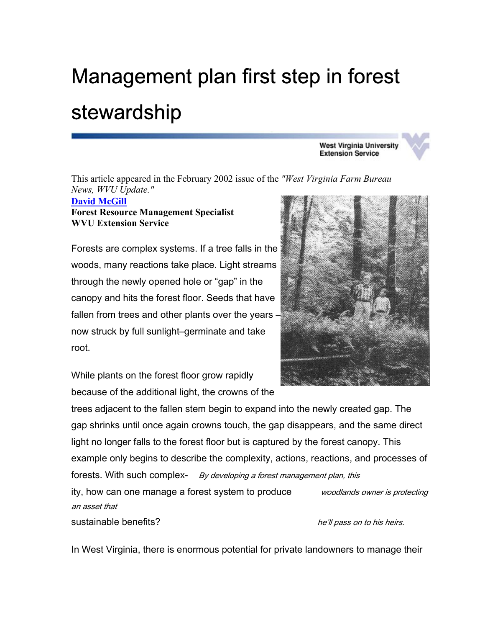## Management plan first step in forest stewardship

**West Virginia University Extension Service** 

This article appeared in the February 2002 issue of the *"West Virginia Farm Bureau News, WVU Update."* 

## **[David McGill](mailto:Dave.McGill@mail.wvu.edu) Forest Resource Management Specialist WVU Extension Service**

Forests are complex systems. If a tree falls in the woods, many reactions take place. Light streams through the newly opened hole or "gap" in the canopy and hits the forest floor. Seeds that have fallen from trees and other plants over the years – now struck by full sunlight–germinate and take root.



While plants on the forest floor grow rapidly because of the additional light, the crowns of the

trees adjacent to the fallen stem begin to expand into the newly created gap. The gap shrinks until once again crowns touch, the gap disappears, and the same direct light no longer falls to the forest floor but is captured by the forest canopy. This example only begins to describe the complexity, actions, reactions, and processes of forests. With such complex- By developing a forest management plan, this ity, how can one manage a forest system to produce *woodlands owner is protecting* an asset that sustainable benefits? heta is a substantial part of the intervals on to his heirs.

In West Virginia, there is enormous potential for private landowners to manage their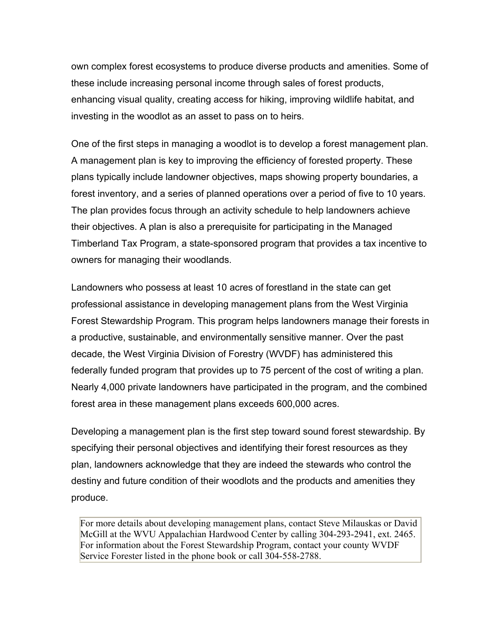own complex forest ecosystems to produce diverse products and amenities. Some of these include increasing personal income through sales of forest products, enhancing visual quality, creating access for hiking, improving wildlife habitat, and investing in the woodlot as an asset to pass on to heirs.

One of the first steps in managing a woodlot is to develop a forest management plan. A management plan is key to improving the efficiency of forested property. These plans typically include landowner objectives, maps showing property boundaries, a forest inventory, and a series of planned operations over a period of five to 10 years. The plan provides focus through an activity schedule to help landowners achieve their objectives. A plan is also a prerequisite for participating in the Managed Timberland Tax Program, a state-sponsored program that provides a tax incentive to owners for managing their woodlands.

Landowners who possess at least 10 acres of forestland in the state can get professional assistance in developing management plans from the West Virginia Forest Stewardship Program. This program helps landowners manage their forests in a productive, sustainable, and environmentally sensitive manner. Over the past decade, the West Virginia Division of Forestry (WVDF) has administered this federally funded program that provides up to 75 percent of the cost of writing a plan. Nearly 4,000 private landowners have participated in the program, and the combined forest area in these management plans exceeds 600,000 acres.

Developing a management plan is the first step toward sound forest stewardship. By specifying their personal objectives and identifying their forest resources as they plan, landowners acknowledge that they are indeed the stewards who control the destiny and future condition of their woodlots and the products and amenities they produce.

For more details about developing management plans, contact Steve Milauskas or David McGill at the WVU Appalachian Hardwood Center by calling 304-293-2941, ext. 2465. For information about the Forest Stewardship Program, contact your county WVDF Service Forester listed in the phone book or call 304-558-2788.